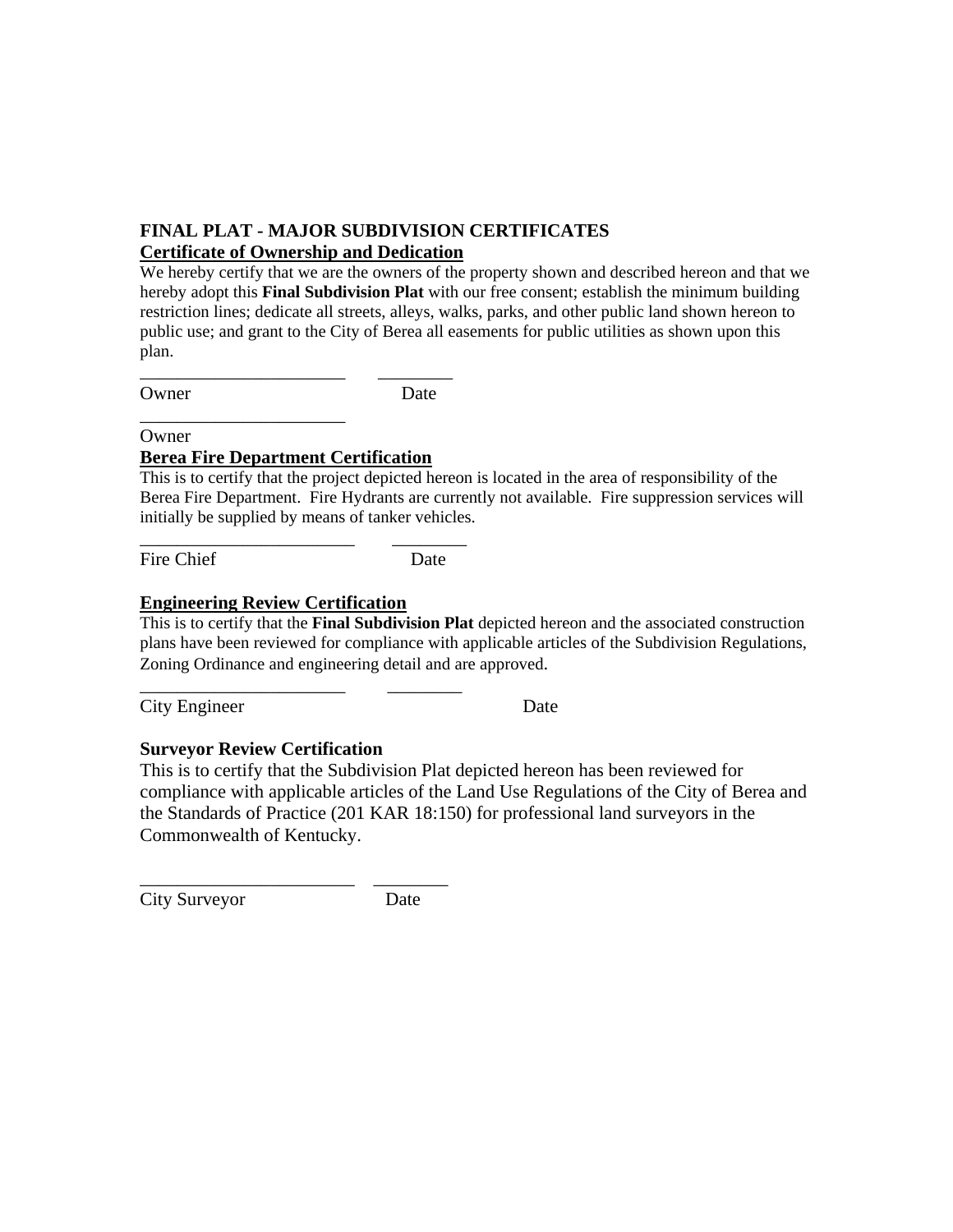## **FINAL PLAT - MAJOR SUBDIVISION CERTIFICATES Certificate of Ownership and Dedication**

We hereby certify that we are the owners of the property shown and described hereon and that we hereby adopt this **Final Subdivision Plat** with our free consent; establish the minimum building restriction lines; dedicate all streets, alleys, walks, parks, and other public land shown hereon to public use; and grant to the City of Berea all easements for public utilities as shown upon this plan.

Owner Date

\_\_\_\_\_\_\_\_\_\_\_\_\_\_\_\_\_\_\_\_\_\_ \_\_\_\_\_\_\_\_

**Owner** 

### **Berea Fire Department Certification**

\_\_\_\_\_\_\_\_\_\_\_\_\_\_\_\_\_\_\_\_\_\_\_ \_\_\_\_\_\_\_\_

\_\_\_\_\_\_\_\_\_\_\_\_\_\_\_\_\_\_\_\_\_\_ \_\_\_\_\_\_\_\_

\_\_\_\_\_\_\_\_\_\_\_\_\_\_\_\_\_\_\_\_\_\_

This is to certify that the project depicted hereon is located in the area of responsibility of the Berea Fire Department. Fire Hydrants are currently not available. Fire suppression services will initially be supplied by means of tanker vehicles.

Fire Chief Date

# **Engineering Review Certification**

This is to certify that the **Final Subdivision Plat** depicted hereon and the associated construction plans have been reviewed for compliance with applicable articles of the Subdivision Regulations, Zoning Ordinance and engineering detail and are approved.

City Engineer Date

## **Surveyor Review Certification**

This is to certify that the Subdivision Plat depicted hereon has been reviewed for compliance with applicable articles of the Land Use Regulations of the City of Berea and the Standards of Practice (201 KAR 18:150) for professional land surveyors in the Commonwealth of Kentucky.

\_\_\_\_\_\_\_\_\_\_\_\_\_\_\_\_\_\_\_\_\_\_\_ \_\_\_\_\_\_\_\_ City Surveyor Date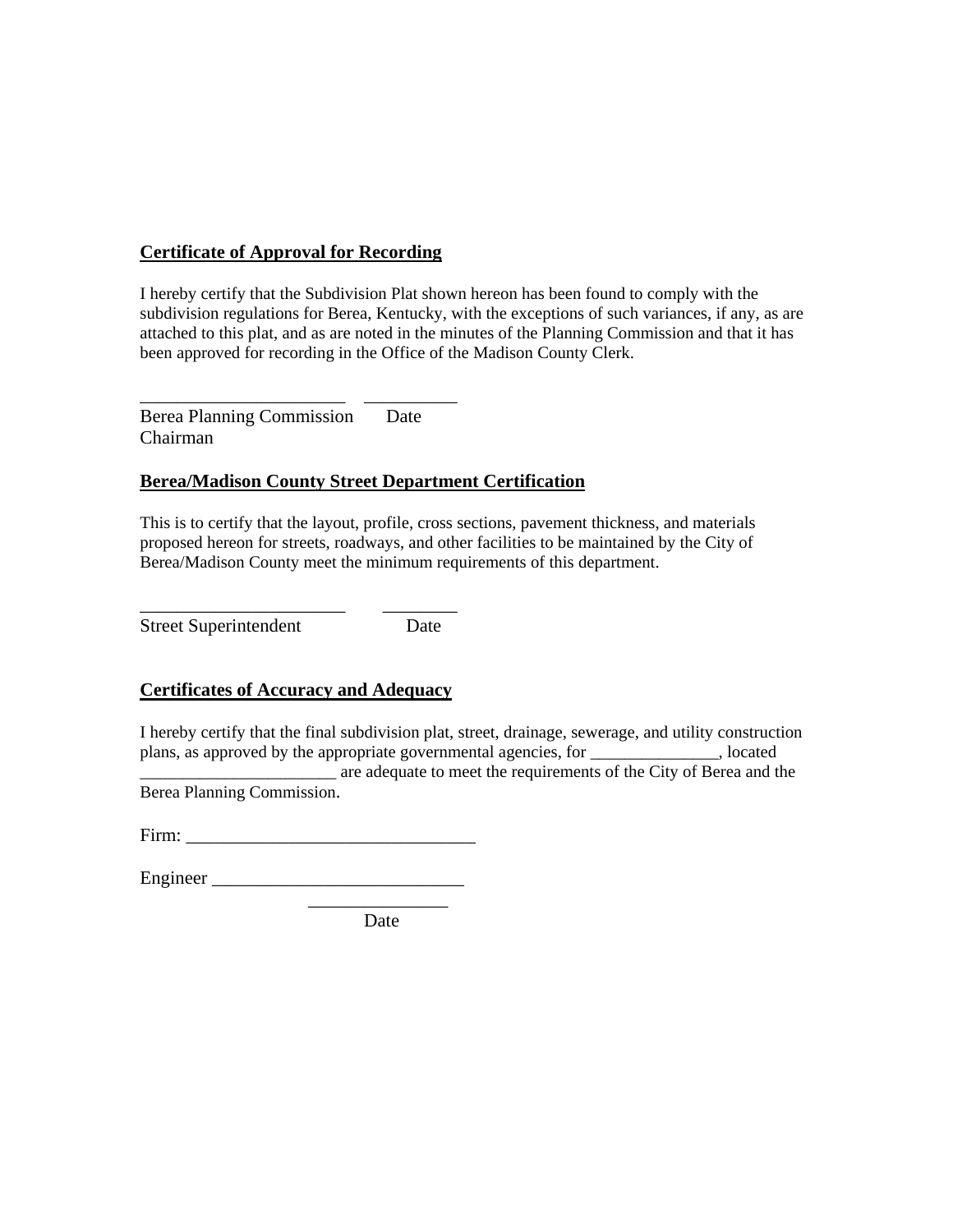## **Certificate of Approval for Recording**

I hereby certify that the Subdivision Plat shown hereon has been found to comply with the subdivision regulations for Berea, Kentucky, with the exceptions of such variances, if any, as are attached to this plat, and as are noted in the minutes of the Planning Commission and that it has been approved for recording in the Office of the Madison County Clerk.

Berea Planning Commission Date Chairman

\_\_\_\_\_\_\_\_\_\_\_\_\_\_\_\_\_\_\_\_\_\_ \_\_\_\_\_\_\_\_\_\_

### **Berea/Madison County Street Department Certification**

This is to certify that the layout, profile, cross sections, pavement thickness, and materials proposed hereon for streets, roadways, and other facilities to be maintained by the City of Berea/Madison County meet the minimum requirements of this department.

Street Superintendent Date

### **Certificates of Accuracy and Adequacy**

\_\_\_\_\_\_\_\_\_\_\_\_\_\_\_\_\_\_\_\_\_\_ \_\_\_\_\_\_\_\_

I hereby certify that the final subdivision plat, street, drainage, sewerage, and utility construction plans, as approved by the appropriate governmental agencies, for \_\_\_\_\_\_\_\_\_\_\_\_\_\_\_, located

\_\_\_\_\_\_\_\_\_\_\_\_\_\_\_\_\_\_\_\_\_\_\_ are adequate to meet the requirements of the City of Berea and the Berea Planning Commission.

| Firm:<br>- |
|------------|
|------------|

| ┳        |  |
|----------|--|
|          |  |
| Engineer |  |
|          |  |

\_\_\_\_\_\_\_\_\_\_\_\_\_\_\_ Date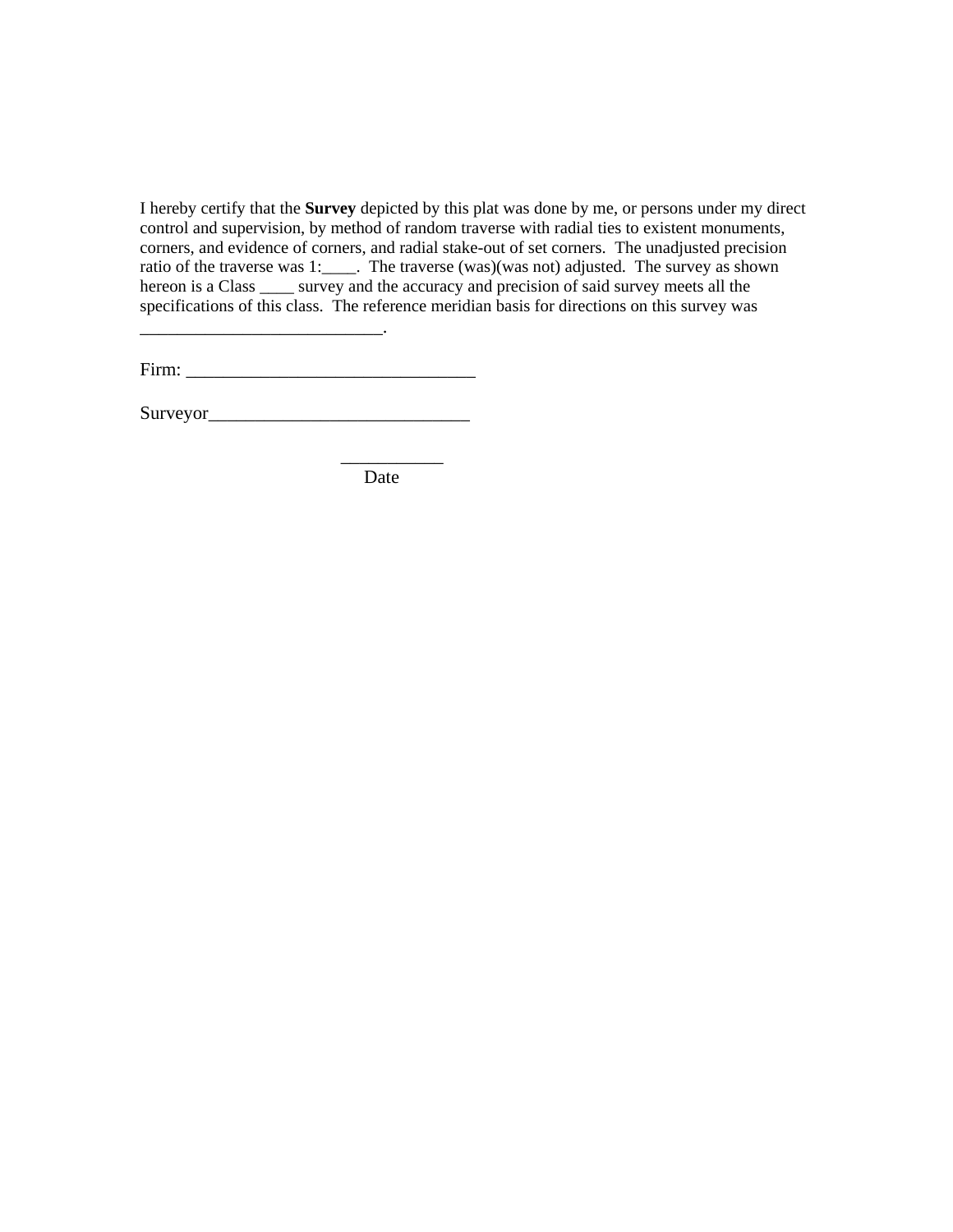I hereby certify that the **Survey** depicted by this plat was done by me, or persons under my direct control and supervision, by method of random traverse with radial ties to existent monuments, corners, and evidence of corners, and radial stake-out of set corners. The unadjusted precision ratio of the traverse was 1:\_\_\_\_. The traverse (was)(was not) adjusted. The survey as shown hereon is a Class \_\_\_\_\_ survey and the accuracy and precision of said survey meets all the specifications of this class. The reference meridian basis for directions on this survey was

Firm: \_\_\_\_\_\_\_\_\_\_\_\_\_\_\_\_\_\_\_\_\_\_\_\_\_\_\_\_\_\_\_

Surveyor\_\_\_\_\_\_\_\_\_\_\_\_\_\_\_\_\_\_\_\_\_\_\_\_\_\_\_\_

 $\mathcal{L}_\text{max}$  and  $\mathcal{L}_\text{max}$  and  $\mathcal{L}_\text{max}$  and  $\mathcal{L}_\text{max}$ 

Date

 $\overline{\phantom{a}}$  ,  $\overline{\phantom{a}}$  ,  $\overline{\phantom{a}}$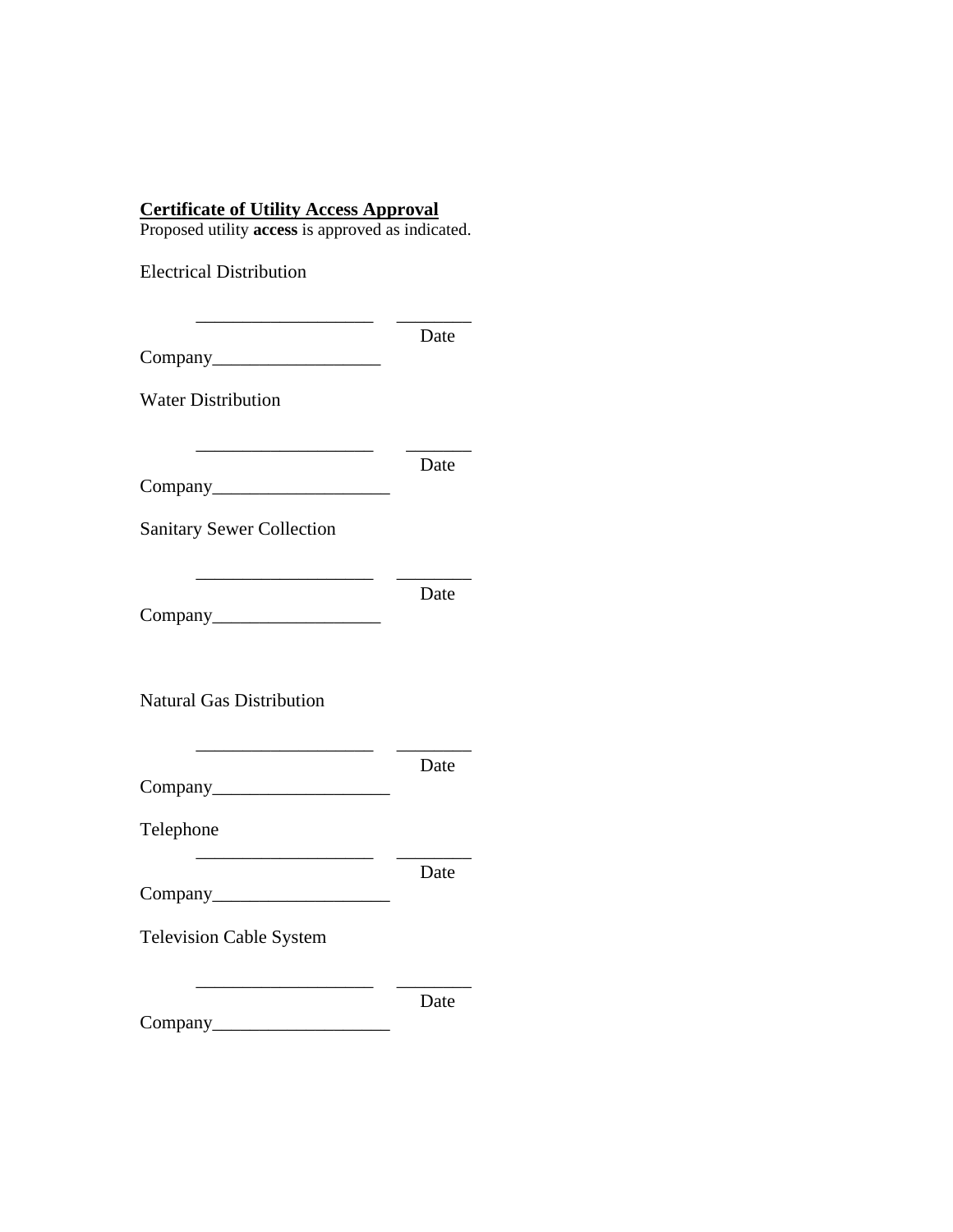#### **Certificate of Utility Access Approval**

Proposed utility **access** is approved as indicated.

| <b>Electrical Distribution</b>                                                                                                     |      |
|------------------------------------------------------------------------------------------------------------------------------------|------|
|                                                                                                                                    | Date |
| <b>Water Distribution</b>                                                                                                          |      |
|                                                                                                                                    | Date |
| <b>Sanitary Sewer Collection</b>                                                                                                   |      |
|                                                                                                                                    | Date |
| <b>Natural Gas Distribution</b>                                                                                                    |      |
| the control of the control of the control of the control of                                                                        | Date |
| Telephone<br><u> 1980 - Johann John Stone, mars et al. 1980 - 1980 - 1980 - 1980 - 1980 - 1980 - 1980 - 1980 - 1980 - 1980 - 1</u> |      |
|                                                                                                                                    | Date |
| <b>Television Cable System</b>                                                                                                     |      |
|                                                                                                                                    | Date |